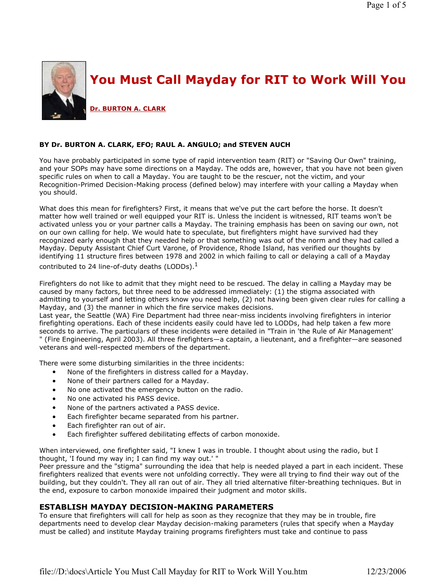

### BY Dr. BURTON A. CLARK, EFO; RAUL A. ANGULO; and STEVEN AUCH

You have probably participated in some type of rapid intervention team (RIT) or "Saving Our Own" training, and your SOPs may have some directions on a Mayday. The odds are, however, that you have not been given specific rules on when to call a Mayday. You are taught to be the rescuer, not the victim, and your Recognition-Primed Decision-Making process (defined below) may interfere with your calling a Mayday when you should.

What does this mean for firefighters? First, it means that we've put the cart before the horse. It doesn't matter how well trained or well equipped your RIT is. Unless the incident is witnessed, RIT teams won't be activated unless you or your partner calls a Mayday. The training emphasis has been on saving our own, not on our own calling for help. We would hate to speculate, but firefighters might have survived had they recognized early enough that they needed help or that something was out of the norm and they had called a Mayday. Deputy Assistant Chief Curt Varone, of Providence, Rhode Island, has verified our thoughts by identifying 11 structure fires between 1978 and 2002 in which failing to call or delaying a call of a Mayday

contributed to 24 line-of-duty deaths (LODDs). $<sup>1</sup>$ </sup>

Firefighters do not like to admit that they might need to be rescued. The delay in calling a Mayday may be caused by many factors, but three need to be addressed immediately: (1) the stigma associated with admitting to yourself and letting others know you need help, (2) not having been given clear rules for calling a Mayday, and (3) the manner in which the fire service makes decisions.

Last year, the Seattle (WA) Fire Department had three near-miss incidents involving firefighters in interior firefighting operations. Each of these incidents easily could have led to LODDs, had help taken a few more seconds to arrive. The particulars of these incidents were detailed in "Train in 'the Rule of Air Management' " (Fire Engineering, April 2003). All three firefighters—a captain, a lieutenant, and a firefighter—are seasoned veterans and well-respected members of the department.

There were some disturbing similarities in the three incidents:

- None of the firefighters in distress called for a Mayday.
- None of their partners called for a Mayday.
- No one activated the emergency button on the radio.
- No one activated his PASS device.
- None of the partners activated a PASS device.
- Each firefighter became separated from his partner.
- Each firefighter ran out of air.
- Each firefighter suffered debilitating effects of carbon monoxide.

When interviewed, one firefighter said, "I knew I was in trouble. I thought about using the radio, but I thought, 'I found my way in; I can find my way out.' "

Peer pressure and the "stigma" surrounding the idea that help is needed played a part in each incident. These firefighters realized that events were not unfolding correctly. They were all trying to find their way out of the building, but they couldn't. They all ran out of air. They all tried alternative filter-breathing techniques. But in the end, exposure to carbon monoxide impaired their judgment and motor skills.

### ESTABLISH MAYDAY DECISION-MAKING PARAMETERS

To ensure that firefighters will call for help as soon as they recognize that they may be in trouble, fire departments need to develop clear Mayday decision-making parameters (rules that specify when a Mayday must be called) and institute Mayday training programs firefighters must take and continue to pass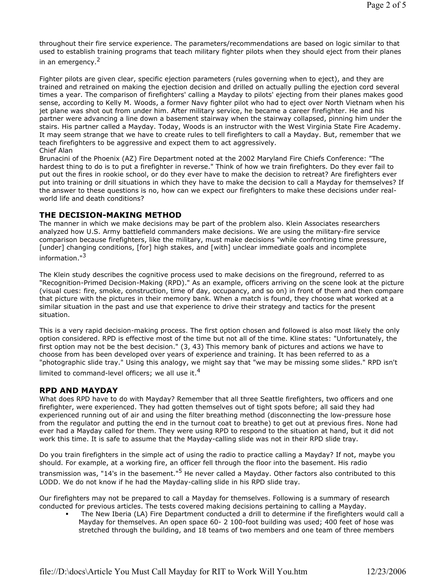throughout their fire service experience. The parameters/recommendations are based on logic similar to that used to establish training programs that teach military fighter pilots when they should eject from their planes in an emergency.<sup>2</sup>

Fighter pilots are given clear, specific ejection parameters (rules governing when to eject), and they are trained and retrained on making the ejection decision and drilled on actually pulling the ejection cord several times a year. The comparison of firefighters' calling a Mayday to pilots' ejecting from their planes makes good sense, according to Kelly M. Woods, a former Navy fighter pilot who had to eject over North Vietnam when his jet plane was shot out from under him. After military service, he became a career firefighter. He and his partner were advancing a line down a basement stairway when the stairway collapsed, pinning him under the stairs. His partner called a Mayday. Today, Woods is an instructor with the West Virginia State Fire Academy. It may seem strange that we have to create rules to tell firefighters to call a Mayday. But, remember that we teach firefighters to be aggressive and expect them to act aggressively. Chief Alan

Brunacini of the Phoenix (AZ) Fire Department noted at the 2002 Maryland Fire Chiefs Conference: "The hardest thing to do is to put a firefighter in reverse." Think of how we train firefighters. Do they ever fail to put out the fires in rookie school, or do they ever have to make the decision to retreat? Are firefighters ever put into training or drill situations in which they have to make the decision to call a Mayday for themselves? If the answer to these questions is no, how can we expect our firefighters to make these decisions under realworld life and death conditions?

### THE DECISION-MAKING METHOD

The manner in which we make decisions may be part of the problem also. Klein Associates researchers analyzed how U.S. Army battlefield commanders make decisions. We are using the military-fire service comparison because firefighters, like the military, must make decisions "while confronting time pressure, [under] changing conditions, [for] high stakes, and [with] unclear immediate goals and incomplete information."<sup>3</sup>

The Klein study describes the cognitive process used to make decisions on the fireground, referred to as "Recognition-Primed Decision-Making (RPD)." As an example, officers arriving on the scene look at the picture (visual cues: fire, smoke, construction, time of day, occupancy, and so on) in front of them and then compare that picture with the pictures in their memory bank. When a match is found, they choose what worked at a similar situation in the past and use that experience to drive their strategy and tactics for the present situation.

This is a very rapid decision-making process. The first option chosen and followed is also most likely the only option considered. RPD is effective most of the time but not all of the time. Kline states: "Unfortunately, the first option may not be the best decision." (3, 43) This memory bank of pictures and actions we have to choose from has been developed over years of experience and training. It has been referred to as a "photographic slide tray." Using this analogy, we might say that "we may be missing some slides." RPD isn't limited to command-level officers; we all use it.<sup>4</sup>

### RPD AND MAYDAY

What does RPD have to do with Mayday? Remember that all three Seattle firefighters, two officers and one firefighter, were experienced. They had gotten themselves out of tight spots before; all said they had experienced running out of air and using the filter breathing method (disconnecting the low-pressure hose from the regulator and putting the end in the turnout coat to breathe) to get out at previous fires. None had ever had a Mayday called for them. They were using RPD to respond to the situation at hand, but it did not work this time. It is safe to assume that the Mayday-calling slide was not in their RPD slide tray.

Do you train firefighters in the simple act of using the radio to practice calling a Mayday? If not, maybe you should. For example, at a working fire, an officer fell through the floor into the basement. His radio transmission was, "14's in the basement."<sup>5</sup> He never called a Mayday. Other factors also contributed to this LODD. We do not know if he had the Mayday-calling slide in his RPD slide tray.

Our firefighters may not be prepared to call a Mayday for themselves. Following is a summary of research conducted for previous articles. The tests covered making decisions pertaining to calling a Mayday.

 The New Iberia (LA) Fire Department conducted a drill to determine if the firefighters would call a Mayday for themselves. An open space 60- 2 100-foot building was used; 400 feet of hose was stretched through the building, and 18 teams of two members and one team of three members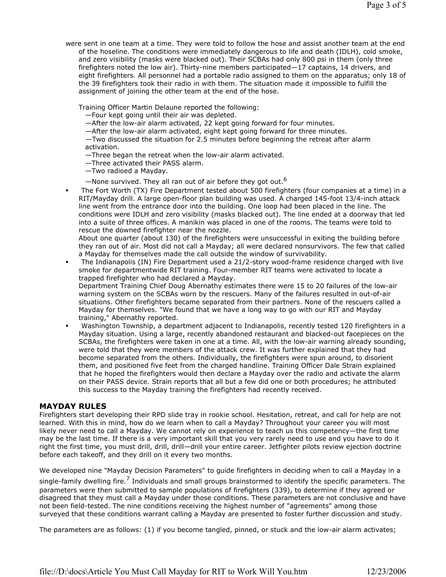were sent in one team at a time. They were told to follow the hose and assist another team at the end of the hoseline. The conditions were immediately dangerous to life and death (IDLH), cold smoke, and zero visibility (masks were blacked out). Their SCBAs had only 800 psi in them (only three firefighters noted the low air). Thirty-nine members participated—17 captains, 14 drivers, and eight firefighters. All personnel had a portable radio assigned to them on the apparatus; only 18 of the 39 firefighters took their radio in with them. The situation made it impossible to fulfill the assignment of joining the other team at the end of the hose.

Training Officer Martin Delaune reported the following:

- —Four kept going until their air was depleted.
- —After the low-air alarm activated, 22 kept going forward for four minutes.
- —After the low-air alarm activated, eight kept going forward for three minutes.
- —Two discussed the situation for 2.5 minutes before beginning the retreat after alarm activation.
- —Three began the retreat when the low-air alarm activated.
- —Three activated their PASS alarm.
- —Two radioed a Mayday.
- $-$ None survived. They all ran out of air before they got out.<sup>6</sup>
- The Fort Worth (TX) Fire Department tested about 500 firefighters (four companies at a time) in a RIT/Mayday drill. A large open-floor plan building was used. A charged 145-foot 13/4-inch attack line went from the entrance door into the building. One loop had been placed in the line. The conditions were IDLH and zero visibility (masks blacked out). The line ended at a doorway that led into a suite of three offices. A manikin was placed in one of the rooms. The teams were told to rescue the downed firefighter near the nozzle.

About one quarter (about 130) of the firefighters were unsuccessful in exiting the building before they ran out of air. Most did not call a Mayday; all were declared nonsurvivors. The few that called a Mayday for themselves made the call outside the window of survivability.

 The Indianapolis (IN) Fire Department used a 21/2-story wood-frame residence charged with live smoke for departmentwide RIT training. Four-member RIT teams were activated to locate a trapped firefighter who had declared a Mayday.

Department Training Chief Doug Abernathy estimates there were 15 to 20 failures of the low-air warning system on the SCBAs worn by the rescuers. Many of the failures resulted in out-of-air situations. Other firefighters became separated from their partners. None of the rescuers called a Mayday for themselves. "We found that we have a long way to go with our RIT and Mayday training," Abernathy reported.

 Washington Township, a department adjacent to Indianapolis, recently tested 120 firefighters in a Mayday situation. Using a large, recently abandoned restaurant and blacked-out facepieces on the SCBAs, the firefighters were taken in one at a time. All, with the low-air warning already sounding, were told that they were members of the attack crew. It was further explained that they had become separated from the others. Individually, the firefighters were spun around, to disorient them, and positioned five feet from the charged handline. Training Officer Dale Strain explained that he hoped the firefighters would then declare a Mayday over the radio and activate the alarm on their PASS device. Strain reports that all but a few did one or both procedures; he attributed this success to the Mayday training the firefighters had recently received.

## MAYDAY RULES

Firefighters start developing their RPD slide tray in rookie school. Hesitation, retreat, and call for help are not learned. With this in mind, how do we learn when to call a Mayday? Throughout your career you will most likely never need to call a Mayday. We cannot rely on experience to teach us this competency—the first time may be the last time. If there is a very important skill that you very rarely need to use and you have to do it right the first time, you must drill, drill, drill—drill your entire career. Jetfighter pilots review ejection doctrine before each takeoff, and they drill on it every two months.

We developed nine "Mayday Decision Parameters" to guide firefighters in deciding when to call a Mayday in a single-family dwelling fire.<sup>7</sup> Individuals and small groups brainstormed to identify the specific parameters. The parameters were then submitted to sample populations of firefighters (339), to determine if they agreed or disagreed that they must call a Mayday under those conditions. These parameters are not conclusive and have not been field-tested. The nine conditions receiving the highest number of "agreements" among those surveyed that these conditions warrant calling a Mayday are presented to foster further discussion and study.

The parameters are as follows: (1) if you become tangled, pinned, or stuck and the low-air alarm activates;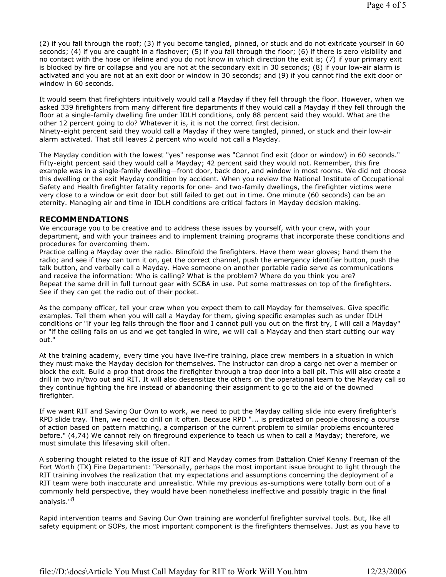(2) if you fall through the roof; (3) if you become tangled, pinned, or stuck and do not extricate yourself in 60 seconds; (4) if you are caught in a flashover; (5) if you fall through the floor; (6) if there is zero visibility and no contact with the hose or lifeline and you do not know in which direction the exit is; (7) if your primary exit is blocked by fire or collapse and you are not at the secondary exit in 30 seconds; (8) if your low-air alarm is activated and you are not at an exit door or window in 30 seconds; and (9) if you cannot find the exit door or window in 60 seconds.

It would seem that firefighters intuitively would call a Mayday if they fell through the floor. However, when we asked 339 firefighters from many different fire departments if they would call a Mayday if they fell through the floor at a single-family dwelling fire under IDLH conditions, only 88 percent said they would. What are the other 12 percent going to do? Whatever it is, it is not the correct first decision.

Ninety-eight percent said they would call a Mayday if they were tangled, pinned, or stuck and their low-air alarm activated. That still leaves 2 percent who would not call a Mayday.

The Mayday condition with the lowest "yes" response was "Cannot find exit (door or window) in 60 seconds." Fifty-eight percent said they would call a Mayday; 42 percent said they would not. Remember, this fire example was in a single-family dwelling—front door, back door, and window in most rooms. We did not choose this dwelling or the exit Mayday condition by accident. When you review the National Institute of Occupational Safety and Health firefighter fatality reports for one- and two-family dwellings, the firefighter victims were very close to a window or exit door but still failed to get out in time. One minute (60 seconds) can be an eternity. Managing air and time in IDLH conditions are critical factors in Mayday decision making.

### RECOMMENDATIONS

We encourage you to be creative and to address these issues by yourself, with your crew, with your department, and with your trainees and to implement training programs that incorporate these conditions and procedures for overcoming them.

Practice calling a Mayday over the radio. Blindfold the firefighters. Have them wear gloves; hand them the radio; and see if they can turn it on, get the correct channel, push the emergency identifier button, push the talk button, and verbally call a Mayday. Have someone on another portable radio serve as communications and receive the information: Who is calling? What is the problem? Where do you think you are? Repeat the same drill in full turnout gear with SCBA in use. Put some mattresses on top of the firefighters. See if they can get the radio out of their pocket.

As the company officer, tell your crew when you expect them to call Mayday for themselves. Give specific examples. Tell them when you will call a Mayday for them, giving specific examples such as under IDLH conditions or "if your leg falls through the floor and I cannot pull you out on the first try, I will call a Mayday" or "if the ceiling falls on us and we get tangled in wire, we will call a Mayday and then start cutting our way out."

At the training academy, every time you have live-fire training, place crew members in a situation in which they must make the Mayday decision for themselves. The instructor can drop a cargo net over a member or block the exit. Build a prop that drops the firefighter through a trap door into a ball pit. This will also create a drill in two in/two out and RIT. It will also desensitize the others on the operational team to the Mayday call so they continue fighting the fire instead of abandoning their assignment to go to the aid of the downed firefighter.

If we want RIT and Saving Our Own to work, we need to put the Mayday calling slide into every firefighter's RPD slide tray. Then, we need to drill on it often. Because RPD "... is predicated on people choosing a course of action based on pattern matching, a comparison of the current problem to similar problems encountered before." (4,74) We cannot rely on fireground experience to teach us when to call a Mayday; therefore, we must simulate this lifesaving skill often.

A sobering thought related to the issue of RIT and Mayday comes from Battalion Chief Kenny Freeman of the Fort Worth (TX) Fire Department: "Personally, perhaps the most important issue brought to light through the RIT training involves the realization that my expectations and assumptions concerning the deployment of a RIT team were both inaccurate and unrealistic. While my previous as-sumptions were totally born out of a commonly held perspective, they would have been nonetheless ineffective and possibly tragic in the final analysis."<sup>8</sup>

Rapid intervention teams and Saving Our Own training are wonderful firefighter survival tools. But, like all safety equipment or SOPs, the most important component is the firefighters themselves. Just as you have to